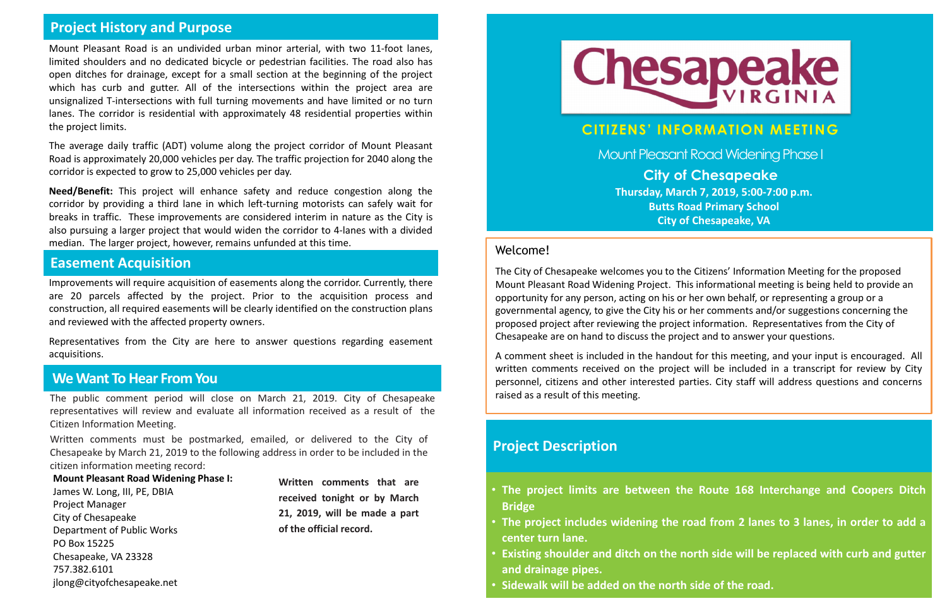#### **CITIZENS' INFORMATION MEETING**

Mount Pleasant Road Widening Phase I

### **We Want To Hear From You**

The public comment period will close on March 21, 2019. City of Chesapeake representatives will review and evaluate all information received as a result of the Citizen Information Meeting.

Written comments must be postmarked, emailed, or delivered to the City of Chesapeake by March 21, 2019 to the following address in order to be included in the citizen information meeting record:

**Mount Pleasant Road Widening Phase I:** James W. Long, III, PE, DBIA Project Manager City of Chesapeake Department of Public Works PO Box 15225 Chesapeake, VA 23328 757.382.6101 jlong@cityofchesapeake.net

#### Welcome!

The City of Chesapeake welcomes you to the Citizens' Information Meeting for the proposed Mount Pleasant Road Widening Project. This informational meeting is being held to provide an opportunity for any person, acting on his or her own behalf, or representing a group or a governmental agency, to give the City his or her comments and/or suggestions concerning the proposed project after reviewing the project information. Representatives from the City of Chesapeake are on hand to discuss the project and to answer your questions.

A comment sheet is included in the handout for this meeting, and your input is encouraged. All written comments received on the project will be included in a transcript for review by City personnel, citizens and other interested parties. City staff will address questions and concerns raised as a result of this meeting.

#### **Project History and Purpose**

**City of Chesapeake Thursday, March 7, 2019, 5:00-7:00 p.m. Butts Road Primary School City of Chesapeake, VA**

Mount Pleasant Road is an undivided urban minor arterial, with two 11-foot lanes, limited shoulders and no dedicated bicycle or pedestrian facilities. The road also has open ditches for drainage, except for a small section at the beginning of the project which has curb and gutter. All of the intersections within the project area are unsignalized T-intersections with full turning movements and have limited or no turn lanes. The corridor is residential with approximately 48 residential properties within the project limits.

The average daily traffic (ADT) volume along the project corridor of Mount Pleasant Road is approximately 20,000 vehicles per day. The traffic projection for 2040 along the corridor is expected to grow to 25,000 vehicles per day.

**Need/Benefit:** This project will enhance safety and reduce congestion along the corridor by providing a third lane in which left-turning motorists can safely wait for breaks in traffic. These improvements are considered interim in nature as the City is also pursuing a larger project that would widen the corridor to 4-lanes with a divided median. The larger project, however, remains unfunded at this time.

#### **Project Description**

• **The project limits are between the Route 168 Interchange and Coopers Ditch**

• **The project includes widening the road from 2 lanes to 3 lanes, in order to add a**

- **Bridge**
- **center turn lane.**
- **and drainage pipes.**
- **Sidewalk will be added on the north side of the road.**

• **Existing shoulder and ditch on the north side will be replaced with curb and gutter**

**Written comments that are received tonight or by March 21, 2019, will be made a part of the official record.**



#### **Easement Acquisition**

Improvements will require acquisition of easements along the corridor. Currently, there are 20 parcels affected by the project. Prior to the acquisition process and construction, all required easements will be clearly identified on the construction plans and reviewed with the affected property owners.

Representatives from the City are here to answer questions regarding easement acquisitions.